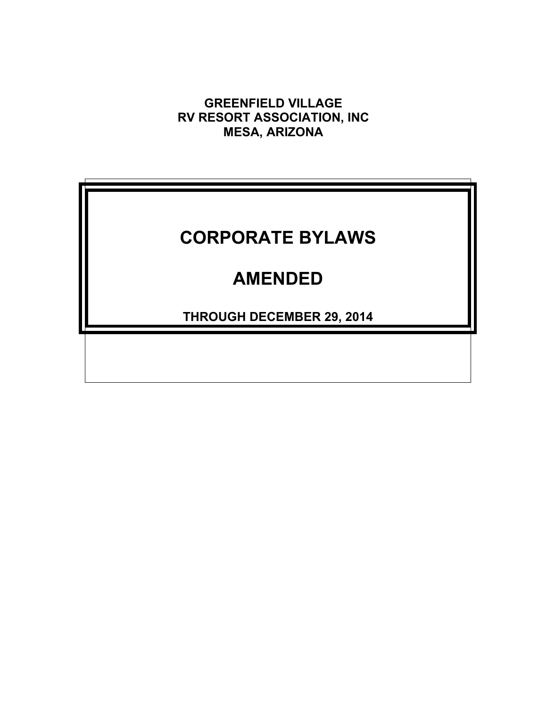**GREENFIELD VILLAGE RV RESORT ASSOCIATION, INC MESA, ARIZONA**

# **CORPORATE BYLAWS**

## **AMENDED**

**THROUGH DECEMBER 29, 2014**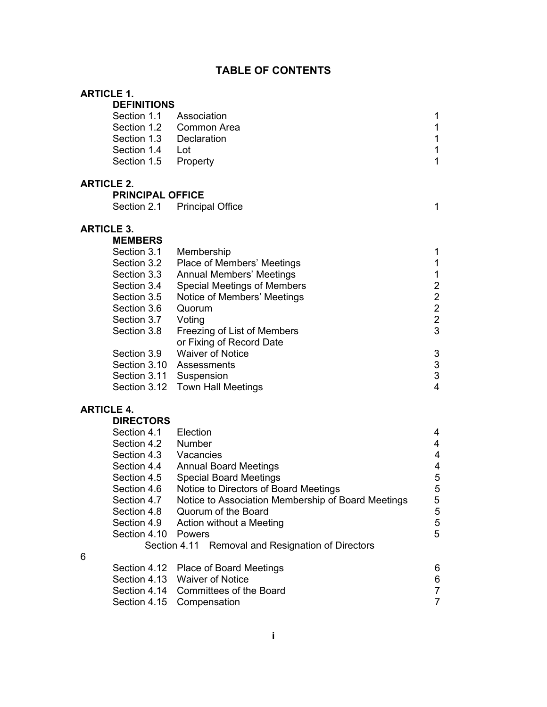## **TABLE OF CONTENTS**

| <b>ARTICLE 1.</b> |                         |                                                         |                           |
|-------------------|-------------------------|---------------------------------------------------------|---------------------------|
|                   | <b>DEFINITIONS</b>      |                                                         |                           |
|                   | Section 1.1             | Association                                             | 1                         |
|                   | Section 1.2             | <b>Common Area</b>                                      | $\mathbf{1}$              |
|                   | Section 1.3             | Declaration                                             | $\mathbf 1$               |
|                   | Section 1.4             | Lot                                                     | $\mathbf 1$               |
|                   | Section 1.5             | Property                                                | $\mathbf{1}$              |
| <b>ARTICLE 2.</b> |                         |                                                         |                           |
|                   | <b>PRINCIPAL OFFICE</b> |                                                         |                           |
|                   | Section 2.1             | <b>Principal Office</b>                                 | 1                         |
| <b>ARTICLE 3.</b> |                         |                                                         |                           |
|                   | <b>MEMBERS</b>          |                                                         |                           |
|                   | Section 3.1             | Membership                                              | 1                         |
|                   | Section 3.2             | Place of Members' Meetings                              | 1                         |
|                   | Section 3.3             | <b>Annual Members' Meetings</b>                         | $\mathbf 1$               |
|                   | Section 3.4             | <b>Special Meetings of Members</b>                      | $2222$<br>$23$            |
|                   | Section 3.5             | Notice of Members' Meetings                             |                           |
|                   | Section 3.6             | Quorum                                                  |                           |
|                   | Section 3.7             | Voting                                                  |                           |
|                   | Section 3.8             | Freezing of List of Members<br>or Fixing of Record Date |                           |
|                   | Section 3.9             | <b>Waiver of Notice</b>                                 | $\ensuremath{\mathsf{3}}$ |
|                   | Section 3.10            | Assessments                                             |                           |
|                   | Section 3.11            | Suspension                                              | $\frac{3}{3}$             |
|                   | Section 3.12            | <b>Town Hall Meetings</b>                               | $\overline{\mathbf{4}}$   |
| <b>ARTICLE 4.</b> |                         |                                                         |                           |
|                   | <b>DIRECTORS</b>        |                                                         |                           |
|                   | Section 4.1             | Election                                                | 4                         |
|                   | Section 4.2             | Number                                                  | 4                         |
|                   | Section 4.3             | Vacancies                                               | 4                         |
|                   | Section 4.4             | <b>Annual Board Meetings</b>                            | 4                         |
|                   | Section 4.5             | <b>Special Board Meetings</b>                           | 5                         |
|                   | Section 4.6             | Notice to Directors of Board Meetings                   | 5                         |
|                   | Section 4.7             | Notice to Association Membership of Board Meetings      | 5                         |
|                   | Section 4.8             | Quorum of the Board                                     | 5                         |

6

Section 4.10 Powers

| Section 4.12 Place of Board Meetings | 6 |
|--------------------------------------|---|
| Section 4.13 Waiver of Notice        | 6 |
| Section 4.14 Committees of the Board |   |
| Section 4.15 Compensation            |   |

Section 4.8 Quorum of the Board<br>
Section 4.9 Action without a Meeting<br>
5 Section 4.9 Action without a Meeting 5<br>Section 4.10 Powers 5

Section 4.11 Removal and Resignation of Directors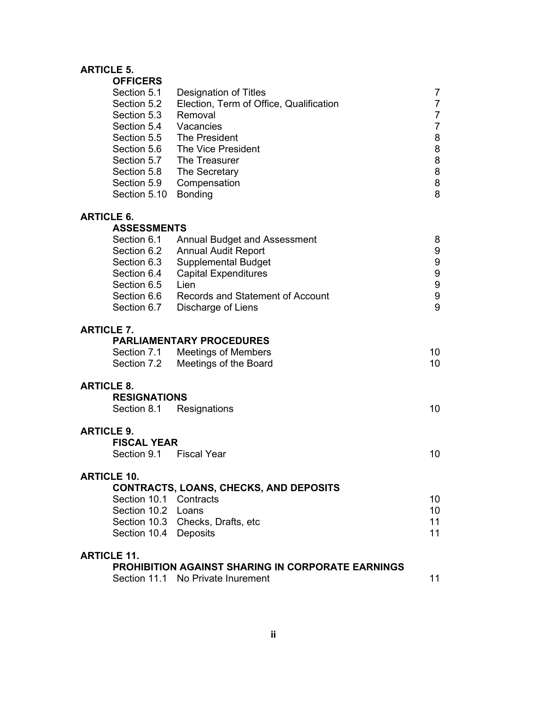#### **ARTICLE 5.**

| <b>OFFICERS</b>                    |                                                          |                  |
|------------------------------------|----------------------------------------------------------|------------------|
| Section 5.1                        | Designation of Titles                                    | 7                |
| Section 5.2                        | Election, Term of Office, Qualification                  | $\overline{7}$   |
| Section 5.3                        | Removal                                                  | $\overline{7}$   |
| Section 5.4                        | Vacancies                                                | $\overline{7}$   |
| Section 5.5                        | The President                                            | $\bf 8$          |
| Section 5.6                        | The Vice President                                       | 8                |
| Section 5.7                        | The Treasurer                                            | 8                |
| Section 5.8                        | The Secretary                                            | 8                |
| Section 5.9                        | Compensation                                             | $\bf 8$          |
| Section 5.10                       | <b>Bonding</b>                                           | 8                |
| <b>ARTICLE 6.</b>                  |                                                          |                  |
| <b>ASSESSMENTS</b>                 |                                                          |                  |
| Section 6.1                        | <b>Annual Budget and Assessment</b>                      | 8                |
| Section 6.2                        | <b>Annual Audit Report</b>                               | 9                |
| Section 6.3                        | <b>Supplemental Budget</b>                               | 9                |
| Section 6.4                        | <b>Capital Expenditures</b>                              | $\boldsymbol{9}$ |
| Section 6.5                        | Lien                                                     | $\boldsymbol{9}$ |
| Section 6.6                        | Records and Statement of Account                         | $\boldsymbol{9}$ |
| Section 6.7                        | Discharge of Liens                                       | 9                |
| <b>ARTICLE 7.</b>                  |                                                          |                  |
|                                    | <b>PARLIAMENTARY PROCEDURES</b>                          |                  |
| Section 7.1                        | <b>Meetings of Members</b>                               | 10               |
| Section 7.2                        | Meetings of the Board                                    | 10               |
|                                    |                                                          |                  |
| <b>ARTICLE 8.</b>                  |                                                          |                  |
| <b>RESIGNATIONS</b><br>Section 8.1 | Resignations                                             | 10               |
|                                    |                                                          |                  |
| <b>ARTICLE 9.</b>                  |                                                          |                  |
| <b>FISCAL YEAR</b>                 |                                                          |                  |
| Section 9.1                        | <b>Fiscal Year</b>                                       | 10               |
| ARTICI E 10                        |                                                          |                  |
|                                    | <b>CONTRACTS, LOANS, CHECKS, AND DEPOSITS</b>            |                  |
| Section 10.1 Contracts             |                                                          | 10               |
| Section 10.2 Loans                 |                                                          | 10 <sup>°</sup>  |
|                                    | Section 10.3 Checks, Drafts, etc                         | 11               |
| Section 10.4 Deposits              |                                                          | 11               |
| <b>ARTICLE 11.</b>                 |                                                          |                  |
|                                    | <b>PROHIBITION AGAINST SHARING IN CORPORATE EARNINGS</b> |                  |
|                                    | Section 11.1 No Private Inurement                        | 11               |
|                                    |                                                          |                  |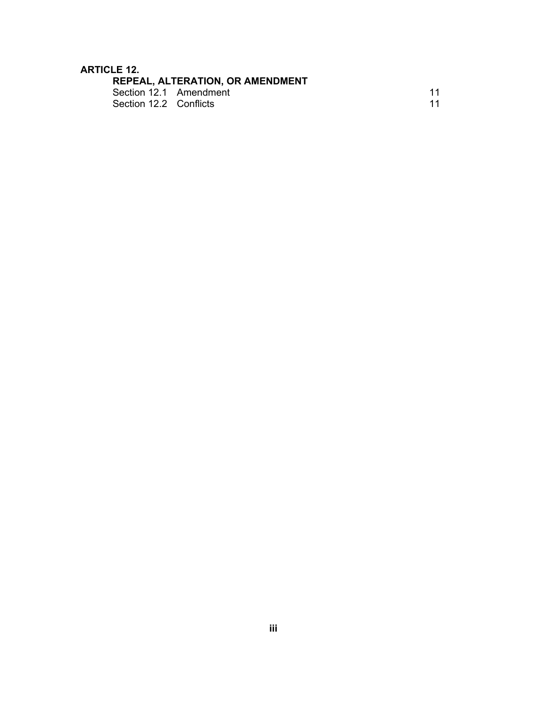# **ARTICLE 12.**<br>REPEA<br>Section

| Section 12.1 Amendment |  |
|------------------------|--|
| Section 12.2 Conflicts |  |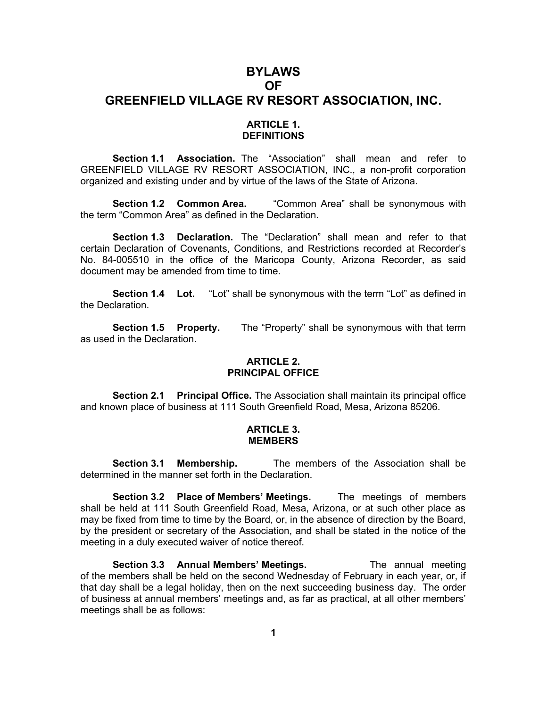## **BYLAWS OF GREENFIELD VILLAGE RV RESORT ASSOCIATION, INC.**

#### **ARTICLE 1. DEFINITIONS**

**Section 1.1 Association.** The "Association" shall mean and refer to GREENFIELD VILLAGE RV RESORT ASSOCIATION, INC., a non-profit corporation organized and existing under and by virtue of the laws of the State of Arizona.

**Section 1.2 Common Area.** "Common Area" shall be synonymous with the term "Common Area" as defined in the Declaration.

**Section 1.3 Declaration.** The "Declaration" shall mean and refer to that certain Declaration of Covenants, Conditions, and Restrictions recorded at Recorder's No. 84-005510 in the office of the Maricopa County, Arizona Recorder, as said document may be amended from time to time.

**Section 1.4 Lot.** "Lot" shall be synonymous with the term "Lot" as defined in the Declaration.

**Section 1.5 Property.** The "Property" shall be synonymous with that term as used in the Declaration.

#### **ARTICLE 2. PRINCIPAL OFFICE**

**Section 2.1 Principal Office.** The Association shall maintain its principal office and known place of business at 111 South Greenfield Road, Mesa, Arizona 85206.

#### **ARTICLE 3. MEMBERS**

**Section 3.1 Membership.** The members of the Association shall be determined in the manner set forth in the Declaration.

**Section 3.2 Place of Members' Meetings.** The meetings of members shall be held at 111 South Greenfield Road, Mesa, Arizona, or at such other place as may be fixed from time to time by the Board, or, in the absence of direction by the Board, by the president or secretary of the Association, and shall be stated in the notice of the meeting in a duly executed waiver of notice thereof.

**Section 3.3 Annual Members' Meetings.** The annual meeting of the members shall be held on the second Wednesday of February in each year, or, if that day shall be a legal holiday, then on the next succeeding business day. The order of business at annual members' meetings and, as far as practical, at all other members' meetings shall be as follows: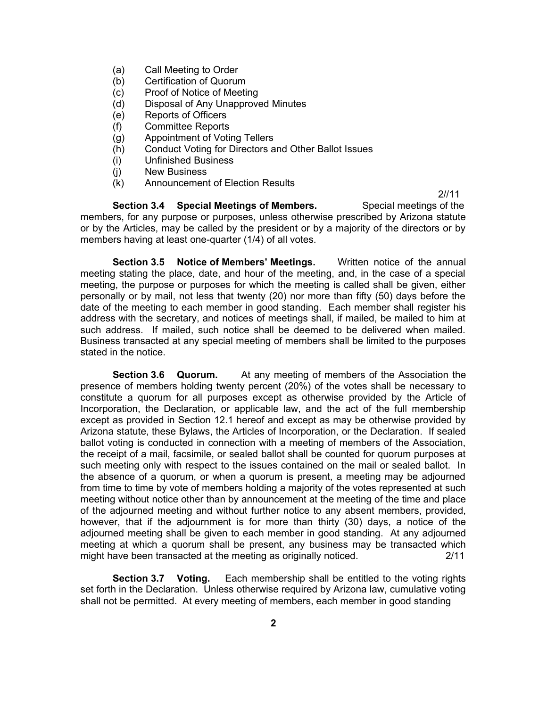- (a) Call Meeting to Order
- (b) Certification of Quorum
- (c) Proof of Notice of Meeting
- (d) Disposal of Any Unapproved Minutes
- (e) Reports of Officers
- (f) Committee Reports
- (g) Appointment of Voting Tellers
- (h) Conduct Voting for Directors and Other Ballot Issues
- (i) Unfinished Business
- (j) New Business
- (k) Announcement of Election Results

**Section 3.4 Special Meetings of Members.** Special meetings of the members, for any purpose or purposes, unless otherwise prescribed by Arizona statute or by the Articles, may be called by the president or by a majority of the directors or by members having at least one-quarter (1/4) of all votes.

2//11

**Section 3.5 Notice of Members' Meetings.** Written notice of the annual meeting stating the place, date, and hour of the meeting, and, in the case of a special meeting, the purpose or purposes for which the meeting is called shall be given, either personally or by mail, not less that twenty (20) nor more than fifty (50) days before the date of the meeting to each member in good standing. Each member shall register his address with the secretary, and notices of meetings shall, if mailed, be mailed to him at such address. If mailed, such notice shall be deemed to be delivered when mailed. Business transacted at any special meeting of members shall be limited to the purposes stated in the notice.

**Section 3.6 Quorum.** At any meeting of members of the Association the presence of members holding twenty percent (20%) of the votes shall be necessary to constitute a quorum for all purposes except as otherwise provided by the Article of Incorporation, the Declaration, or applicable law, and the act of the full membership except as provided in Section 12.1 hereof and except as may be otherwise provided by Arizona statute, these Bylaws, the Articles of Incorporation, or the Declaration. If sealed ballot voting is conducted in connection with a meeting of members of the Association, the receipt of a mail, facsimile, or sealed ballot shall be counted for quorum purposes at such meeting only with respect to the issues contained on the mail or sealed ballot. In the absence of a quorum, or when a quorum is present, a meeting may be adjourned from time to time by vote of members holding a majority of the votes represented at such meeting without notice other than by announcement at the meeting of the time and place of the adjourned meeting and without further notice to any absent members, provided, however, that if the adjournment is for more than thirty (30) days, a notice of the adjourned meeting shall be given to each member in good standing. At any adjourned meeting at which a quorum shall be present, any business may be transacted which might have been transacted at the meeting as originally noticed. 2/11

**Section 3.7 Voting.** Each membership shall be entitled to the voting rights set forth in the Declaration. Unless otherwise required by Arizona law, cumulative voting shall not be permitted. At every meeting of members, each member in good standing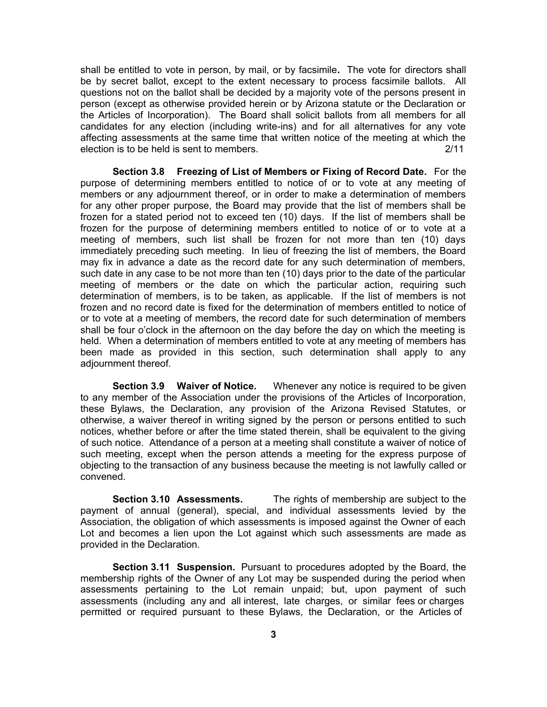shall be entitled to vote in person, by mail, or by facsimile**.** The vote for directors shall be by secret ballot, except to the extent necessary to process facsimile ballots. All questions not on the ballot shall be decided by a majority vote of the persons present in person (except as otherwise provided herein or by Arizona statute or the Declaration or the Articles of Incorporation). The Board shall solicit ballots from all members for all candidates for any election (including write-ins) and for all alternatives for any vote affecting assessments at the same time that written notice of the meeting at which the election is to be held is sent to members. 2/11

**Section 3.8 Freezing of List of Members or Fixing of Record Date.** For the purpose of determining members entitled to notice of or to vote at any meeting of members or any adjournment thereof, or in order to make a determination of members for any other proper purpose, the Board may provide that the list of members shall be frozen for a stated period not to exceed ten (10) days. If the list of members shall be frozen for the purpose of determining members entitled to notice of or to vote at a meeting of members, such list shall be frozen for not more than ten (10) days immediately preceding such meeting. In lieu of freezing the list of members, the Board may fix in advance a date as the record date for any such determination of members, such date in any case to be not more than ten (10) days prior to the date of the particular meeting of members or the date on which the particular action, requiring such determination of members, is to be taken, as applicable. If the list of members is not frozen and no record date is fixed for the determination of members entitled to notice of or to vote at a meeting of members, the record date for such determination of members shall be four o'clock in the afternoon on the day before the day on which the meeting is held. When a determination of members entitled to vote at any meeting of members has been made as provided in this section, such determination shall apply to any adjournment thereof.

**Section 3.9 Waiver of Notice.** Whenever any notice is required to be given to any member of the Association under the provisions of the Articles of Incorporation, these Bylaws, the Declaration, any provision of the Arizona Revised Statutes, or otherwise, a waiver thereof in writing signed by the person or persons entitled to such notices, whether before or after the time stated therein, shall be equivalent to the giving of such notice. Attendance of a person at a meeting shall constitute a waiver of notice of such meeting, except when the person attends a meeting for the express purpose of objecting to the transaction of any business because the meeting is not lawfully called or convened.

**Section 3.10 Assessments.** The rights of membership are subject to the payment of annual (general), special, and individual assessments levied by the Association, the obligation of which assessments is imposed against the Owner of each Lot and becomes a lien upon the Lot against which such assessments are made as provided in the Declaration.

**Section 3.11 Suspension.** Pursuant to procedures adopted by the Board, the membership rights of the Owner of any Lot may be suspended during the period when assessments pertaining to the Lot remain unpaid; but, upon payment of such assessments (including any and all interest, late charges, or similar fees or charges permitted or required pursuant to these Bylaws, the Declaration, or the Articles of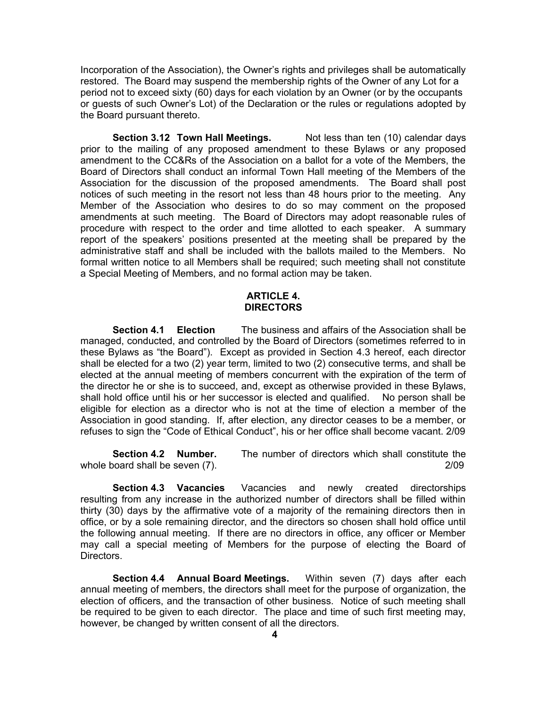Incorporation of the Association), the Owner's rights and privileges shall be automatically restored. The Board may suspend the membership rights of the Owner of any Lot for a period not to exceed sixty (60) days for each violation by an Owner (or by the occupants or guests of such Owner's Lot) of the Declaration or the rules or regulations adopted by the Board pursuant thereto.

**Section 3.12 Town Hall Meetings.** Not less than ten (10) calendar days prior to the mailing of any proposed amendment to these Bylaws or any proposed amendment to the CC&Rs of the Association on a ballot for a vote of the Members, the Board of Directors shall conduct an informal Town Hall meeting of the Members of the Association for the discussion of the proposed amendments. The Board shall post notices of such meeting in the resort not less than 48 hours prior to the meeting. Any Member of the Association who desires to do so may comment on the proposed amendments at such meeting. The Board of Directors may adopt reasonable rules of procedure with respect to the order and time allotted to each speaker. A summary report of the speakers' positions presented at the meeting shall be prepared by the administrative staff and shall be included with the ballots mailed to the Members. No formal written notice to all Members shall be required; such meeting shall not constitute a Special Meeting of Members, and no formal action may be taken.

#### **ARTICLE 4. DIRECTORS**

**Section 4.1 Election** The business and affairs of the Association shall be managed, conducted, and controlled by the Board of Directors (sometimes referred to in these Bylaws as "the Board"). Except as provided in Section 4.3 hereof, each director shall be elected for a two (2) year term, limited to two (2) consecutive terms, and shall be elected at the annual meeting of members concurrent with the expiration of the term of the director he or she is to succeed, and, except as otherwise provided in these Bylaws, shall hold office until his or her successor is elected and qualified. No person shall be eligible for election as a director who is not at the time of election a member of the Association in good standing. If, after election, any director ceases to be a member, or refuses to sign the "Code of Ethical Conduct", his or her office shall become vacant. 2/09

**Section 4.2 Number.** The number of directors which shall constitute the whole board shall be seven (7).  $\sim$  2/09

**Section 4.3 Vacancies** Vacancies and newly created directorships resulting from any increase in the authorized number of directors shall be filled within thirty (30) days by the affirmative vote of a majority of the remaining directors then in office, or by a sole remaining director, and the directors so chosen shall hold office until the following annual meeting. If there are no directors in office, any officer or Member may call a special meeting of Members for the purpose of electing the Board of Directors.

**Section 4.4 Annual Board Meetings.** Within seven (7) days after each annual meeting of members, the directors shall meet for the purpose of organization, the election of officers, and the transaction of other business. Notice of such meeting shall be required to be given to each director. The place and time of such first meeting may, however, be changed by written consent of all the directors.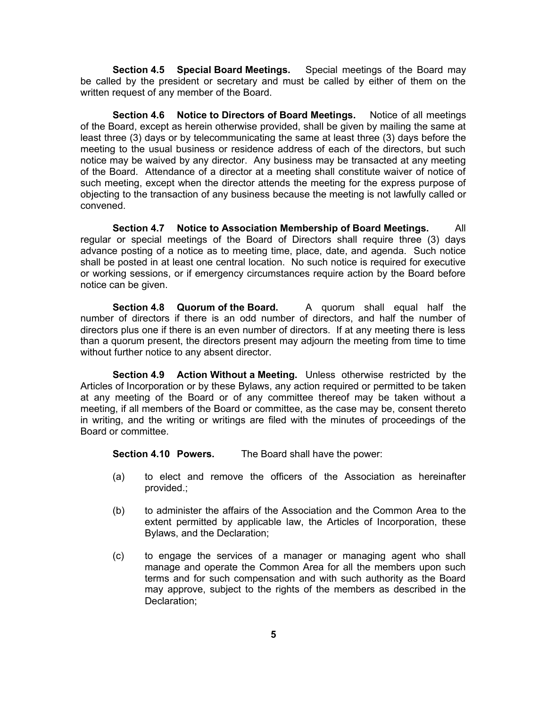**Section 4.5 Special Board Meetings.** Special meetings of the Board may be called by the president or secretary and must be called by either of them on the written request of any member of the Board.

**Section 4.6 Notice to Directors of Board Meetings.** Notice of all meetings of the Board, except as herein otherwise provided, shall be given by mailing the same at least three (3) days or by telecommunicating the same at least three (3) days before the meeting to the usual business or residence address of each of the directors, but such notice may be waived by any director. Any business may be transacted at any meeting of the Board. Attendance of a director at a meeting shall constitute waiver of notice of such meeting, except when the director attends the meeting for the express purpose of objecting to the transaction of any business because the meeting is not lawfully called or convened.

**Section 4.7 Notice to Association Membership of Board Meetings.** All regular or special meetings of the Board of Directors shall require three (3) days advance posting of a notice as to meeting time, place, date, and agenda. Such notice shall be posted in at least one central location. No such notice is required for executive or working sessions, or if emergency circumstances require action by the Board before notice can be given.

**Section 4.8 Quorum of the Board.** A quorum shall equal half the number of directors if there is an odd number of directors, and half the number of directors plus one if there is an even number of directors. If at any meeting there is less than a quorum present, the directors present may adjourn the meeting from time to time without further notice to any absent director.

**Section 4.9 Action Without a Meeting.** Unless otherwise restricted by the Articles of Incorporation or by these Bylaws, any action required or permitted to be taken at any meeting of the Board or of any committee thereof may be taken without a meeting, if all members of the Board or committee, as the case may be, consent thereto in writing, and the writing or writings are filed with the minutes of proceedings of the Board or committee.

**Section 4.10 Powers.** The Board shall have the power:

- (a) to elect and remove the officers of the Association as hereinafter provided.;
- (b) to administer the affairs of the Association and the Common Area to the extent permitted by applicable law, the Articles of Incorporation, these Bylaws, and the Declaration;
- (c) to engage the services of a manager or managing agent who shall manage and operate the Common Area for all the members upon such terms and for such compensation and with such authority as the Board may approve, subject to the rights of the members as described in the Declaration;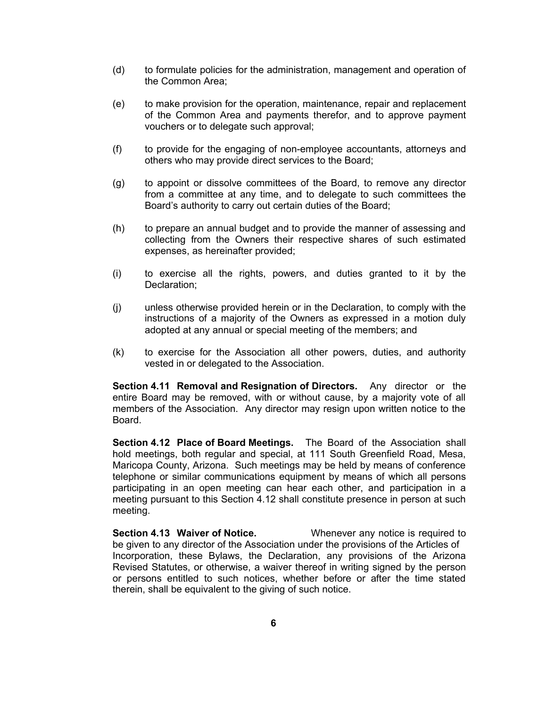- (d) to formulate policies for the administration, management and operation of the Common Area;
- (e) to make provision for the operation, maintenance, repair and replacement of the Common Area and payments therefor, and to approve payment vouchers or to delegate such approval;
- (f) to provide for the engaging of non-employee accountants, attorneys and others who may provide direct services to the Board;
- (g) to appoint or dissolve committees of the Board, to remove any director from a committee at any time, and to delegate to such committees the Board's authority to carry out certain duties of the Board;
- (h) to prepare an annual budget and to provide the manner of assessing and collecting from the Owners their respective shares of such estimated expenses, as hereinafter provided;
- (i) to exercise all the rights, powers, and duties granted to it by the Declaration;
- (j) unless otherwise provided herein or in the Declaration, to comply with the instructions of a majority of the Owners as expressed in a motion duly adopted at any annual or special meeting of the members; and
- (k) to exercise for the Association all other powers, duties, and authority vested in or delegated to the Association.

**Section 4.11 Removal and Resignation of Directors.** Any director or the entire Board may be removed, with or without cause, by a majority vote of all members of the Association. Any director may resign upon written notice to the Board.

**Section 4.12 Place of Board Meetings.** The Board of the Association shall hold meetings, both regular and special, at 111 South Greenfield Road, Mesa, Maricopa County, Arizona. Such meetings may be held by means of conference telephone or similar communications equipment by means of which all persons participating in an open meeting can hear each other, and participation in a meeting pursuant to this Section 4.12 shall constitute presence in person at such meeting.

**Section 4.13 Waiver of Notice.** Whenever any notice is required to be given to any director of the Association under the provisions of the Articles of Incorporation, these Bylaws, the Declaration, any provisions of the Arizona Revised Statutes, or otherwise, a waiver thereof in writing signed by the person or persons entitled to such notices, whether before or after the time stated therein, shall be equivalent to the giving of such notice.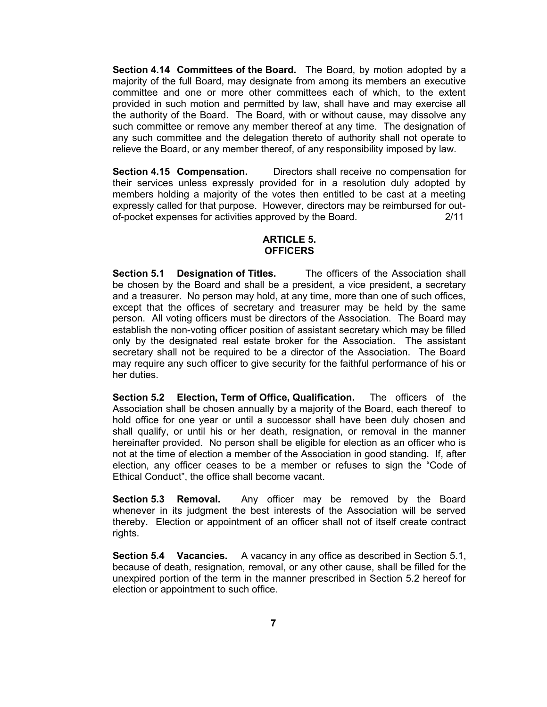**Section 4.14 Committees of the Board.** The Board, by motion adopted by a majority of the full Board, may designate from among its members an executive committee and one or more other committees each of which, to the extent provided in such motion and permitted by law, shall have and may exercise all the authority of the Board. The Board, with or without cause, may dissolve any such committee or remove any member thereof at any time. The designation of any such committee and the delegation thereto of authority shall not operate to relieve the Board, or any member thereof, of any responsibility imposed by law.

**Section 4.15 Compensation.** Directors shall receive no compensation for their services unless expressly provided for in a resolution duly adopted by members holding a majority of the votes then entitled to be cast at a meeting expressly called for that purpose. However, directors may be reimbursed for outof-pocket expenses for activities approved by the Board. 2/11

#### **ARTICLE 5. OFFICERS**

**Section 5.1 Designation of Titles.** The officers of the Association shall be chosen by the Board and shall be a president, a vice president, a secretary and a treasurer. No person may hold, at any time, more than one of such offices, except that the offices of secretary and treasurer may be held by the same person. All voting officers must be directors of the Association. The Board may establish the non-voting officer position of assistant secretary which may be filled only by the designated real estate broker for the Association. The assistant secretary shall not be required to be a director of the Association. The Board may require any such officer to give security for the faithful performance of his or her duties.

**Section 5.2 Election, Term of Office, Qualification.** The officers of the Association shall be chosen annually by a majority of the Board, each thereof to hold office for one year or until a successor shall have been duly chosen and shall qualify, or until his or her death, resignation, or removal in the manner hereinafter provided. No person shall be eligible for election as an officer who is not at the time of election a member of the Association in good standing. If, after election, any officer ceases to be a member or refuses to sign the "Code of Ethical Conduct", the office shall become vacant.

**Section 5.3 Removal.** Any officer may be removed by the Board whenever in its judgment the best interests of the Association will be served thereby. Election or appointment of an officer shall not of itself create contract rights.

**Section 5.4 Vacancies.** A vacancy in any office as described in Section 5.1, because of death, resignation, removal, or any other cause, shall be filled for the unexpired portion of the term in the manner prescribed in Section 5.2 hereof for election or appointment to such office.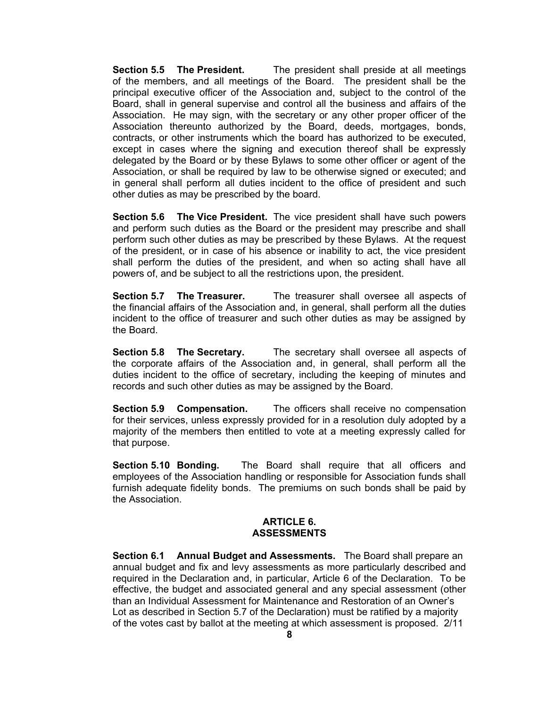**Section 5.5 The President.** The president shall preside at all meetings of the members, and all meetings of the Board. The president shall be the principal executive officer of the Association and, subject to the control of the Board, shall in general supervise and control all the business and affairs of the Association. He may sign, with the secretary or any other proper officer of the Association thereunto authorized by the Board, deeds, mortgages, bonds, contracts, or other instruments which the board has authorized to be executed, except in cases where the signing and execution thereof shall be expressly delegated by the Board or by these Bylaws to some other officer or agent of the Association, or shall be required by law to be otherwise signed or executed; and in general shall perform all duties incident to the office of president and such other duties as may be prescribed by the board.

**Section 5.6 The Vice President.** The vice president shall have such powers and perform such duties as the Board or the president may prescribe and shall perform such other duties as may be prescribed by these Bylaws. At the request of the president, or in case of his absence or inability to act, the vice president shall perform the duties of the president, and when so acting shall have all powers of, and be subject to all the restrictions upon, the president.

**Section 5.7 The Treasurer.** The treasurer shall oversee all aspects of the financial affairs of the Association and, in general, shall perform all the duties incident to the office of treasurer and such other duties as may be assigned by the Board.

**Section 5.8 The Secretary.** The secretary shall oversee all aspects of the corporate affairs of the Association and, in general, shall perform all the duties incident to the office of secretary, including the keeping of minutes and records and such other duties as may be assigned by the Board.

**Section 5.9 Compensation.** The officers shall receive no compensation for their services, unless expressly provided for in a resolution duly adopted by a majority of the members then entitled to vote at a meeting expressly called for that purpose.

**Section 5.10 Bonding.** The Board shall require that all officers and employees of the Association handling or responsible for Association funds shall furnish adequate fidelity bonds. The premiums on such bonds shall be paid by the Association.

#### **ARTICLE 6. ASSESSMENTS**

**Section 6.1 Annual Budget and Assessments.** The Board shall prepare an annual budget and fix and levy assessments as more particularly described and required in the Declaration and, in particular, Article 6 of the Declaration. To be effective, the budget and associated general and any special assessment (other than an Individual Assessment for Maintenance and Restoration of an Owner's Lot as described in Section 5.7 of the Declaration) must be ratified by a majority of the votes cast by ballot at the meeting at which assessment is proposed. 2/11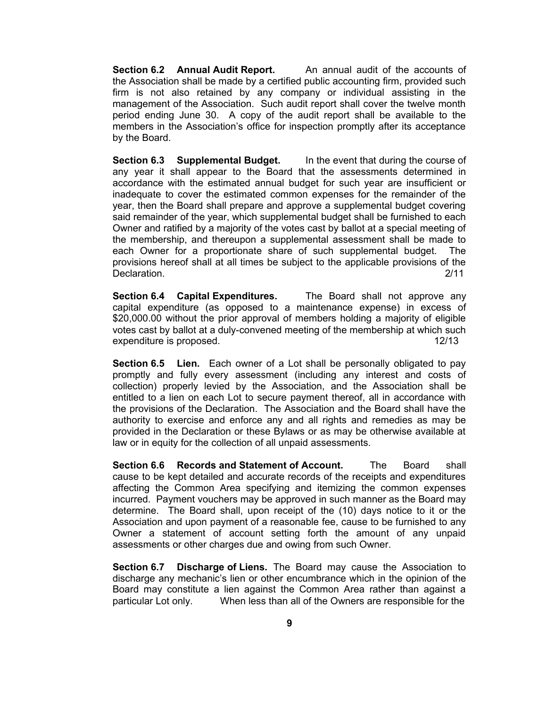**Section 6.2 Annual Audit Report.** An annual audit of the accounts of the Association shall be made by a certified public accounting firm, provided such firm is not also retained by any company or individual assisting in the management of the Association. Such audit report shall cover the twelve month period ending June 30. A copy of the audit report shall be available to the members in the Association's office for inspection promptly after its acceptance by the Board.

**Section 6.3 Supplemental Budget.** In the event that during the course of any year it shall appear to the Board that the assessments determined in accordance with the estimated annual budget for such year are insufficient or inadequate to cover the estimated common expenses for the remainder of the year, then the Board shall prepare and approve a supplemental budget covering said remainder of the year, which supplemental budget shall be furnished to each Owner and ratified by a majority of the votes cast by ballot at a special meeting of the membership, and thereupon a supplemental assessment shall be made to each Owner for a proportionate share of such supplemental budget. The provisions hereof shall at all times be subject to the applicable provisions of the Declaration. 2/11

**Section 6.4 Capital Expenditures.** The Board shall not approve any capital expenditure (as opposed to a maintenance expense) in excess of \$20,000.00 without the prior approval of members holding a majority of eligible votes cast by ballot at a duly-convened meeting of the membership at which such expenditure is proposed. The set of the set of the set of the set of the set of the set of the set of the set o

**Section 6.5 Lien.** Each owner of a Lot shall be personally obligated to pay promptly and fully every assessment (including any interest and costs of collection) properly levied by the Association, and the Association shall be entitled to a lien on each Lot to secure payment thereof, all in accordance with the provisions of the Declaration. The Association and the Board shall have the authority to exercise and enforce any and all rights and remedies as may be provided in the Declaration or these Bylaws or as may be otherwise available at law or in equity for the collection of all unpaid assessments.

**Section 6.6 Records and Statement of Account.** The Board shall cause to be kept detailed and accurate records of the receipts and expenditures affecting the Common Area specifying and itemizing the common expenses incurred. Payment vouchers may be approved in such manner as the Board may determine. The Board shall, upon receipt of the (10) days notice to it or the Association and upon payment of a reasonable fee, cause to be furnished to any Owner a statement of account setting forth the amount of any unpaid assessments or other charges due and owing from such Owner.

**Section 6.7 Discharge of Liens.** The Board may cause the Association to discharge any mechanic's lien or other encumbrance which in the opinion of the Board may constitute a lien against the Common Area rather than against a particular Lot only. When less than all of the Owners are responsible for the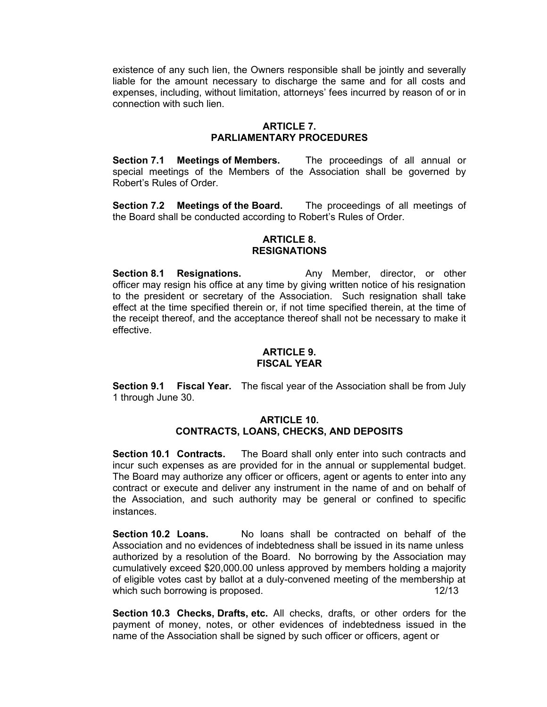existence of any such lien, the Owners responsible shall be jointly and severally liable for the amount necessary to discharge the same and for all costs and expenses, including, without limitation, attorneys' fees incurred by reason of or in connection with such lien.

#### **ARTICLE 7. PARLIAMENTARY PROCEDURES**

**Section 7.1 Meetings of Members.** The proceedings of all annual or special meetings of the Members of the Association shall be governed by Robert's Rules of Order.

**Section 7.2 Meetings of the Board.** The proceedings of all meetings of the Board shall be conducted according to Robert's Rules of Order.

#### **ARTICLE 8. RESIGNATIONS**

**Section 8.1 Resignations.** Any Member, director, or other officer may resign his office at any time by giving written notice of his resignation to the president or secretary of the Association. Such resignation shall take effect at the time specified therein or, if not time specified therein, at the time of the receipt thereof, and the acceptance thereof shall not be necessary to make it effective.

#### **ARTICLE 9. FISCAL YEAR**

**Section 9.1 Fiscal Year.** The fiscal year of the Association shall be from July 1 through June 30.

#### **ARTICLE 10. CONTRACTS, LOANS, CHECKS, AND DEPOSITS**

**Section 10.1 Contracts.** The Board shall only enter into such contracts and incur such expenses as are provided for in the annual or supplemental budget. The Board may authorize any officer or officers, agent or agents to enter into any contract or execute and deliver any instrument in the name of and on behalf of the Association, and such authority may be general or confined to specific instances.

**Section 10.2 Loans.** No loans shall be contracted on behalf of the Association and no evidences of indebtedness shall be issued in its name unless authorized by a resolution of the Board. No borrowing by the Association may cumulatively exceed \$20,000.00 unless approved by members holding a majority of eligible votes cast by ballot at a duly-convened meeting of the membership at which such borrowing is proposed. 12/13

**Section 10.3 Checks, Drafts, etc.** All checks, drafts, or other orders for the payment of money, notes, or other evidences of indebtedness issued in the name of the Association shall be signed by such officer or officers, agent or